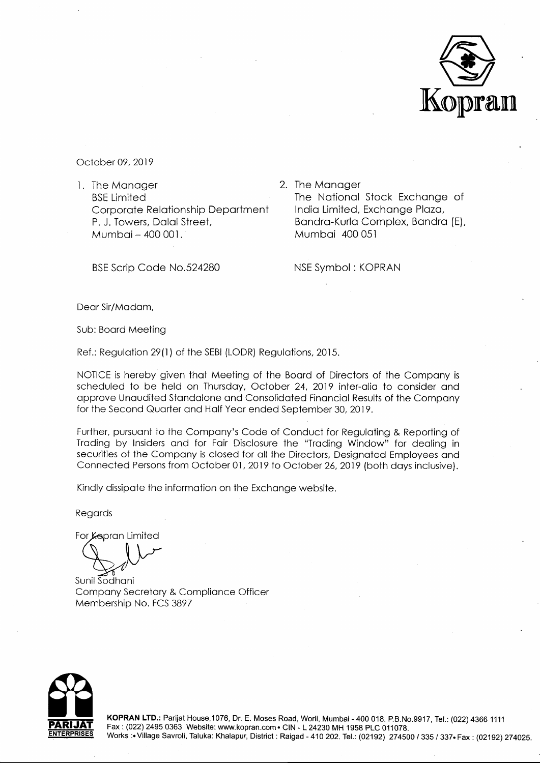

October 09, 2019

l. The Manager BSE Limited Corporate Relationship Department P. J. Towers, Dalal Street, Mumbai - 400 001.

BSE Scrip Code No.524280

2. The Manager The National Stock Exchange of India Limited, Exchange Plaza, Bandra-Kurla Complex, Bandra (E), Mumbai 400 051

NSE Symbol : KOPRAN

Dear Sir/Madam,

Sub: Board Meeting

Ref.: Regulation 29(1) of the SEBI (LODR) Regulations, 2015.

NOTICE is hereby given that Meeting of the Board of Directors of the Company is scheduled to be held on Thursday, October 24, 2019 inter-alia to consider and approve Unaudited Standalone and Consolidated Financial Results of the Company for the Second Quarter and Half Year ended September 30, 2019.

Further, pursuant to the Company's Code of Conduct for Regulating & Reporting of Trading by Insiders and for Fair Disclosure the "Trading Window" for dealing in securities of the Company is closed for all the Directors, Designated Employees and Connected Persons from October 01, 2019 to October 26, 2019 (both days inclusive).

Kindly dissipate the information on the Exchange website.

Regards

For Kepran Limited

Sunil Sodhani Company Secretary & Compliance Officer Membership No. FCS 3897



**KOPRAN LTD.:** Parijat House, 1076, Dr. E. Moses Road, Worli, Mumbai - 400 018. P.B.No.9917, Tel.: (022) 4366 1111 Fax: (022) 2495 0363 Website: www.kopran.com• CIN-L24230 MH 1958 PLC 011078. Works:• Village Savroli, Taluka: Khalapur, District: Raigad - 410 202. Tel.: (02192) 274500 / 335 I 337• Fax: (02192) 274025.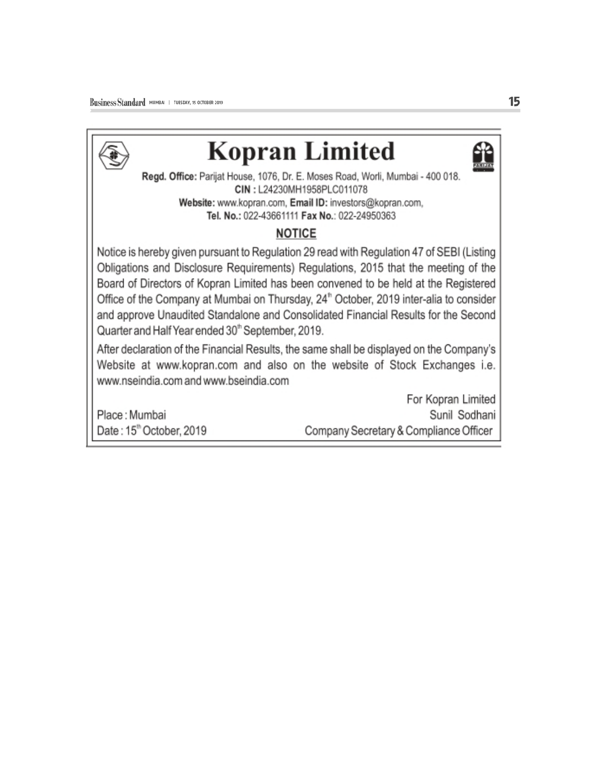